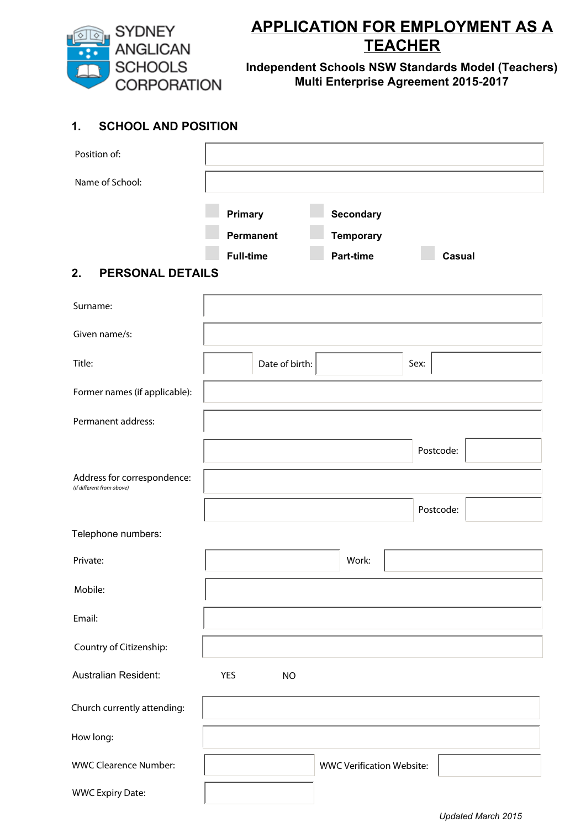

# **APPLICATION FOR EMPLOYMENT AS A TEACHER**

**Independent Schools NSW Standards Model (Teachers) Multi Enterprise Agreement 2015-2017**

## **1. SCHOOL AND POSITION**

| Position of:                                             |                                                 |                                                   |           |  |
|----------------------------------------------------------|-------------------------------------------------|---------------------------------------------------|-----------|--|
| Name of School:                                          |                                                 |                                                   |           |  |
| 2.<br><b>PERSONAL DETAILS</b>                            | Primary<br><b>Permanent</b><br><b>Full-time</b> | Secondary<br><b>Temporary</b><br><b>Part-time</b> | Casual    |  |
| Surname:                                                 |                                                 |                                                   |           |  |
| Given name/s:                                            |                                                 |                                                   |           |  |
| Title:                                                   | Date of birth:                                  |                                                   | Sex:      |  |
| Former names (if applicable):                            |                                                 |                                                   |           |  |
| Permanent address:                                       |                                                 |                                                   |           |  |
|                                                          |                                                 |                                                   | Postcode: |  |
| Address for correspondence:<br>(if different from above) |                                                 |                                                   |           |  |
|                                                          |                                                 |                                                   | Postcode: |  |
| Telephone numbers:                                       |                                                 |                                                   |           |  |
| Private:                                                 |                                                 | Work:                                             |           |  |
| Mobile:                                                  |                                                 |                                                   |           |  |
| Email:                                                   |                                                 |                                                   |           |  |
| Country of Citizenship:                                  |                                                 |                                                   |           |  |
| Australian Resident:                                     | <b>YES</b><br><b>NO</b>                         |                                                   |           |  |
| Church currently attending:                              |                                                 |                                                   |           |  |
| How long:                                                |                                                 |                                                   |           |  |
| <b>WWC Clearence Number:</b>                             |                                                 | <b>WWC Verification Website:</b>                  |           |  |
| <b>WWC Expiry Date:</b>                                  |                                                 |                                                   |           |  |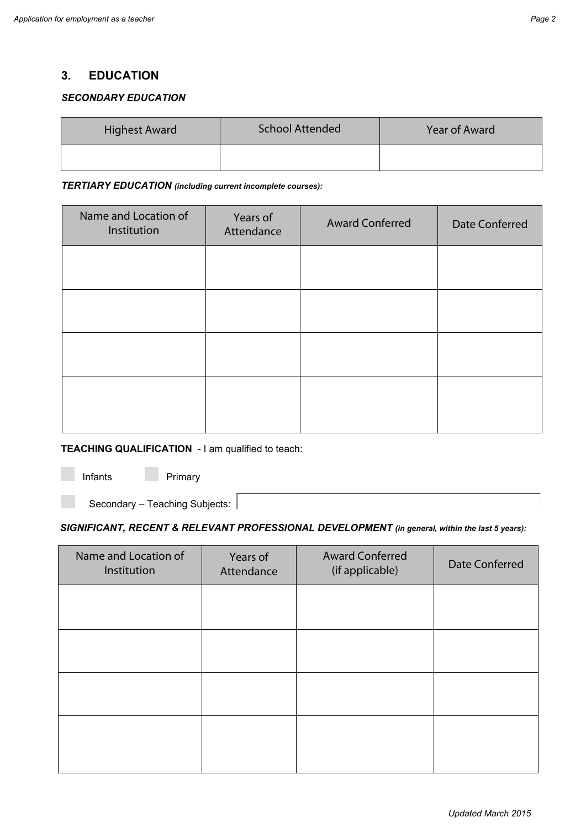## **3. EDUCATION**

#### *SECONDARY EDUCATION*

| <b>Highest Award</b> | <b>School Attended</b> | <b>Year of Award</b> |
|----------------------|------------------------|----------------------|
|                      |                        |                      |

#### *TERTIARY EDUCATION (including current incomplete courses):*

| Name and Location of<br>Institution | Years of<br>Attendance | <b>Award Conferred</b> | <b>Date Conferred</b> |
|-------------------------------------|------------------------|------------------------|-----------------------|
|                                     |                        |                        |                       |
|                                     |                        |                        |                       |
|                                     |                        |                        |                       |
|                                     |                        |                        |                       |

#### **TEACHING QUALIFICATION** - I am qualified to teach:

Infants Primary

Secondary – Teaching Subjects:

#### *SIGNIFICANT, RECENT & RELEVANT PROFESSIONAL DEVELOPMENT (in general, within the last 5 years):*

| Name and Location of<br>Institution | Years of<br>Attendance | <b>Award Conferred</b><br>(if applicable) | <b>Date Conferred</b> |
|-------------------------------------|------------------------|-------------------------------------------|-----------------------|
|                                     |                        |                                           |                       |
|                                     |                        |                                           |                       |
|                                     |                        |                                           |                       |
|                                     |                        |                                           |                       |
|                                     |                        |                                           |                       |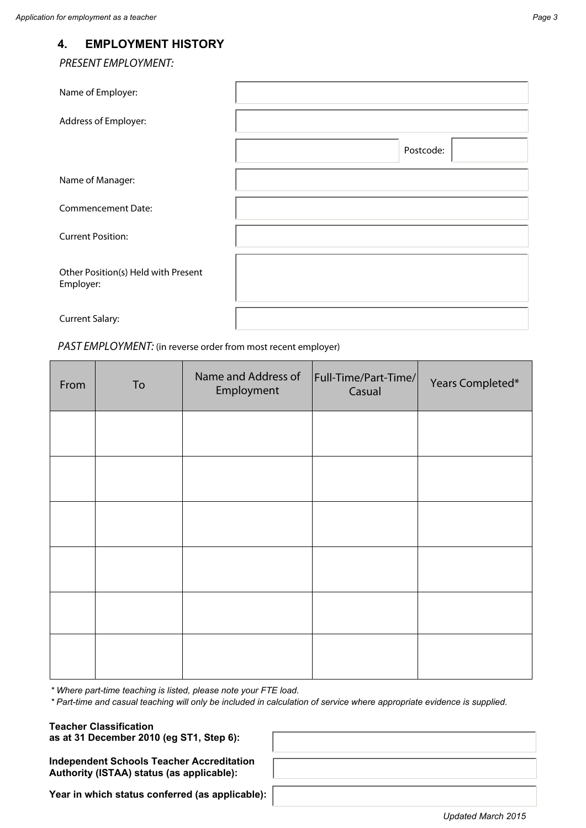*PRESENT EMPLOYMENT:*

| Name of Employer:                                |           |
|--------------------------------------------------|-----------|
| Address of Employer:                             |           |
|                                                  | Postcode: |
| Name of Manager:                                 |           |
| <b>Commencement Date:</b>                        |           |
| <b>Current Position:</b>                         |           |
| Other Position(s) Held with Present<br>Employer: |           |
| <b>Current Salary:</b>                           |           |

#### *PAST EMPLOYMENT:* (in reverse order from most recent employer)

| From | To | Name and Address of<br>Employment | Full-Time/Part-Time/<br>Casual | Years Completed* |
|------|----|-----------------------------------|--------------------------------|------------------|
|      |    |                                   |                                |                  |
|      |    |                                   |                                |                  |
|      |    |                                   |                                |                  |
|      |    |                                   |                                |                  |
|      |    |                                   |                                |                  |
|      |    |                                   |                                |                  |

*\* Where part-time teaching is listed, please note your FTE load.*

*\* Part-time and casual teaching will only be included in calculation of service where appropriate evidence is supplied.*

**Teacher Classification as at 31 December 2010 (eg ST1, Step 6):**

**Independent Schools Teacher Accreditation Authority (ISTAA) status (as applicable):**

**Year in which status conferred (as applicable):**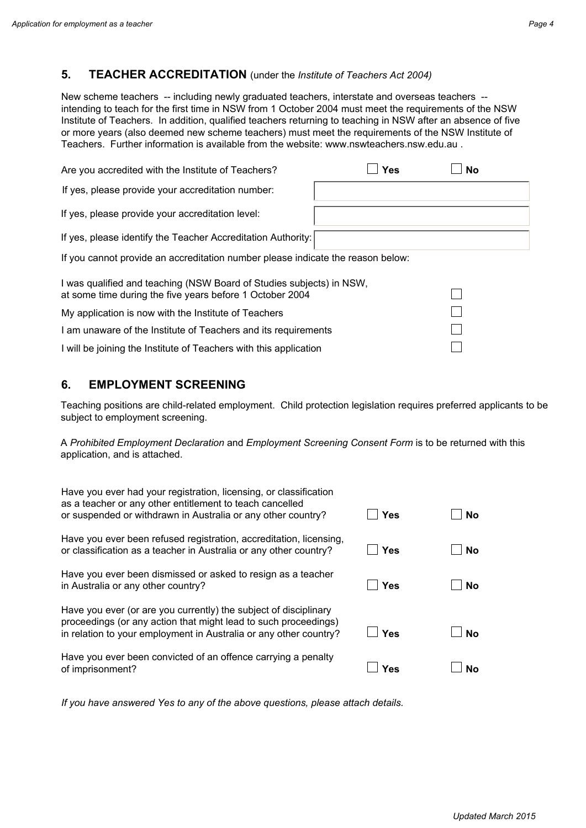## **5. TEACHER ACCREDITATION** (under the *Institute of Teachers Act 2004)*

New scheme teachers -- including newly graduated teachers, interstate and overseas teachers - intending to teach for the first time in NSW from 1 October 2004 must meet the requirements of the NSW Institute of Teachers. In addition, qualified teachers returning to teaching in NSW after an absence of five or more years (also deemed new scheme teachers) must meet the requirements of the NSW Institute of Teachers. Further information is available from the website: www.nswteachers.nsw.edu.au .

| Are you accredited with the Institute of Teachers?                                                                               | <b>Yes</b> | <b>No</b> |
|----------------------------------------------------------------------------------------------------------------------------------|------------|-----------|
| If yes, please provide your accreditation number:                                                                                |            |           |
| If yes, please provide your accreditation level:                                                                                 |            |           |
| If yes, please identify the Teacher Accreditation Authority:                                                                     |            |           |
| If you cannot provide an accreditation number please indicate the reason below:                                                  |            |           |
| I was qualified and teaching (NSW Board of Studies subjects) in NSW,<br>at some time during the five years before 1 October 2004 |            |           |
| My application is now with the Institute of Teachers                                                                             |            |           |
| I am unaware of the Institute of Teachers and its requirements                                                                   |            |           |
| I will be joining the Institute of Teachers with this application                                                                |            |           |

### **6. EMPLOYMENT SCREENING**

Teaching positions are child-related employment. Child protection legislation requires preferred applicants to be subject to employment screening.

A *Prohibited Employment Declaration* and *Employment Screening Consent Form* is to be returned with this application, and is attached.

| Have you ever had your registration, licensing, or classification<br>as a teacher or any other entitlement to teach cancelled<br>or suspended or withdrawn in Australia or any other country?            | Yes | <b>No</b> |
|----------------------------------------------------------------------------------------------------------------------------------------------------------------------------------------------------------|-----|-----------|
| Have you ever been refused registration, accreditation, licensing,<br>or classification as a teacher in Australia or any other country?                                                                  | Yes | No        |
| Have you ever been dismissed or asked to resign as a teacher<br>in Australia or any other country?                                                                                                       | Yes | <b>No</b> |
| Have you ever (or are you currently) the subject of disciplinary<br>proceedings (or any action that might lead to such proceedings)<br>in relation to your employment in Australia or any other country? | Yes | <b>No</b> |
| Have you ever been convicted of an offence carrying a penalty<br>of imprisonment?                                                                                                                        | Yes | N٥        |

*If you have answered Yes to any of the above questions, please attach details.*